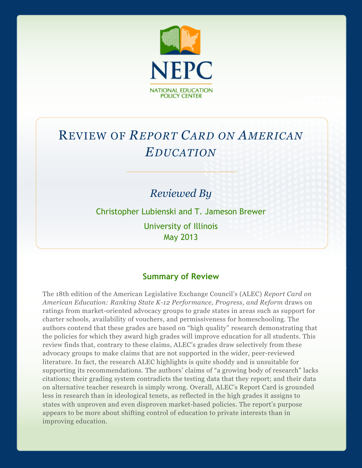

# REVIEW OF *REPORT CARD ON AMERICAN EDUCATION*

## *Reviewed By*

Christopher Lubienski and T. Jameson Brewer University of Illinois May 2013

### **Summary of Review**

The 18th edition of the American Legislative Exchange Council's (ALEC) *Report Card on American Education: Ranking State K-12 Performance, Progress, and Reform* draws on ratings from market-oriented advocacy groups to grade states in areas such as support for charter schools, availability of vouchers, and permissiveness for homeschooling. The authors contend that these grades are based on "high quality" research demonstrating that the policies for which they award high grades will improve education for all students. This review finds that, contrary to these claims, ALEC's grades draw selectively from these advocacy groups to make claims that are not supported in the wider, peer-reviewed literature. In fact, the research ALEC highlights is quite shoddy and is unsuitable for supporting its recommendations. The authors' claims of "a growing body of research" lacks citations; their grading system contradicts the testing data that they report; and their data on alternative teacher research is simply wrong. Overall, ALEC's Report Card is grounded less in research than in ideological tenets, as reflected in the high grades it assigns to states with unproven and even disproven market-based policies. The report's purpose appears to be more about shifting control of education to private interests than in improving education.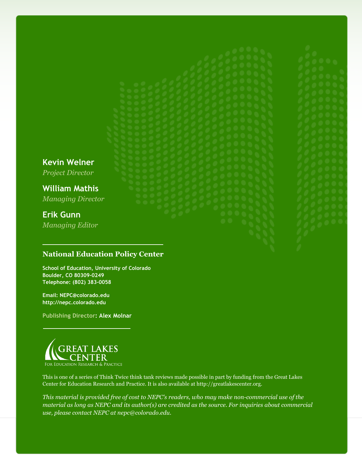**Kevin Welner** *Project Director*

**William Mathis** *Managing Director*

## **Erik Gunn**

*Managing Editor*

### **National Education Policy Center**

**School of Education, University of Colorado Boulder, CO 80309-0249 Telephone: (802) 383-0058**

**Email: NEPC@colorado.edu http://nepc.colorado.edu**

**Publishing Director: Alex Molnar**



This is one of a series of Think Twice think tank reviews made possible in part by funding from the Great Lakes Center for Education Research and Practice. It is also available at http://greatlakescenter.org.

*This material is provided free of cost to NEPC's readers, who may make non-commercial use of the material as long as NEPC and its author(s) are credited as the source. For inquiries about commercial use, please contact NEPC at nepc@colorado.edu.*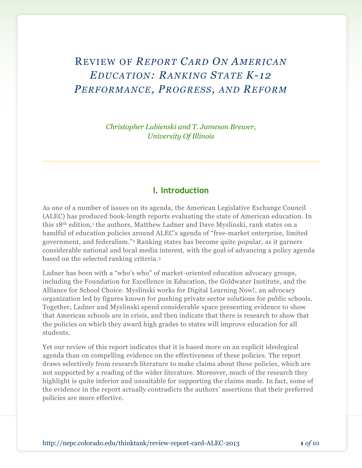## REVIEW OF *REPORT CARD ON AMERICAN EDUCATION: RANKING STATE K-12 PERFORMANCE, PROGRESS, AND REFORM*

*Christopher Lubienski and T. Jameson Brewer, University Of Illinois*

#### **I. Introduction**

As one of a number of issues on its agenda, the American Legislative Exchange Council (ALEC) has produced book-length reports evaluating the state of American education. In this 18<sup>th</sup> edition,<sup>1</sup> the authors, Matthew Ladner and Dave Myslinski, rank states on a handful of education policies around ALEC's agenda of "free-market enterprise, limited government, and federalism."<sup>2</sup> Ranking states has become quite popular, as it garners considerable national and local media interest, with the goal of advancing a policy agenda based on the selected ranking criteria.<sup>3</sup>

Ladner has been with a "who's who" of market-oriented education advocacy groups, including the Foundation for Excellence in Education, the Goldwater Institute, and the Alliance for School Choice. Myslinski works for Digital Learning Now!, an advocacy organization led by figures known for pushing private sector solutions for public schools. Together, Ladner and Myslinski spend considerable space presenting evidence to show that American schools are in crisis, and then indicate that there is research to show that the policies on which they award high grades to states will improve education for all students.

Yet our review of this report indicates that it is based more on an explicit ideological agenda than on compelling evidence on the effectiveness of these policies. The report draws selectively from research literature to make claims about these policies, which are not supported by a reading of the wider literature. Moreover, much of the research they highlight is quite inferior and unsuitable for supporting the claims made. In fact, some of the evidence in the report actually contradicts the authors' assertions that their preferred policies are more effective.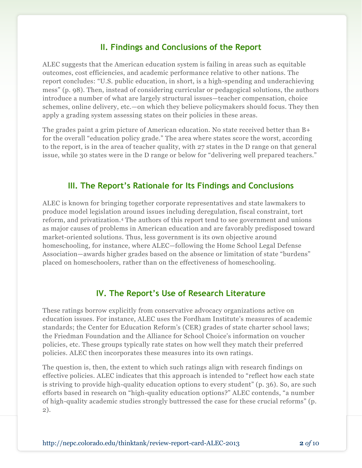### **II. Findings and Conclusions of the Report**

ALEC suggests that the American education system is failing in areas such as equitable outcomes, cost efficiencies, and academic performance relative to other nations. The report concludes: "U.S. public education, in short, is a high-spending and underachieving mess" (p. 98). Then, instead of considering curricular or pedagogical solutions, the authors introduce a number of what are largely structural issues—teacher compensation, choice schemes, online delivery, etc.—on which they believe policymakers should focus. They then apply a grading system assessing states on their policies in these areas.

The grades paint a grim picture of American education. No state received better than B+ for the overall "education policy grade." The area where states score the worst, according to the report, is in the area of teacher quality, with 27 states in the D range on that general issue, while 30 states were in the D range or below for "delivering well prepared teachers."

### **III. The Report's Rationale for Its Findings and Conclusions**

ALEC is known for bringing together corporate representatives and state lawmakers to produce model legislation around issues including deregulation, fiscal constraint, tort reform, and privatization.<sup>4</sup> The authors of this report tend to see government and unions as major causes of problems in American education and are favorably predisposed toward market-oriented solutions. Thus, less government is its own objective around homeschooling, for instance, where ALEC—following the Home School Legal Defense Association—awards higher grades based on the absence or limitation of state "burdens" placed on homeschoolers, rather than on the effectiveness of homeschooling.

### **IV. The Report's Use of Research Literature**

These ratings borrow explicitly from conservative advocacy organizations active on education issues. For instance, ALEC uses the Fordham Institute's measures of academic standards; the Center for Education Reform's (CER) grades of state charter school laws; the Friedman Foundation and the Alliance for School Choice's information on voucher policies, etc. These groups typically rate states on how well they match their preferred policies. ALEC then incorporates these measures into its own ratings.

The question is, then, the extent to which such ratings align with research findings on effective policies. ALEC indicates that this approach is intended to "reflect how each state is striving to provide high-quality education options to every student" (p. 36). So, are such efforts based in research on "high-quality education options?" ALEC contends, "a number of high-quality academic studies strongly buttressed the case for these crucial reforms" (p. 2).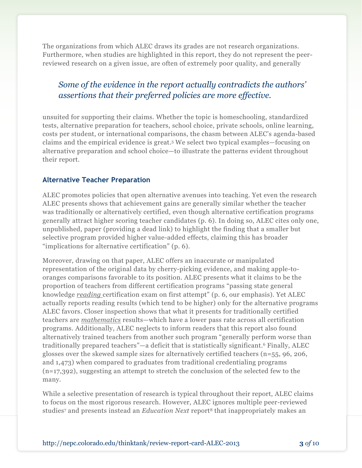The organizations from which ALEC draws its grades are not research organizations. Furthermore, when studies are highlighted in this report, they do not represent the peerreviewed research on a given issue, are often of extremely poor quality, and generally

### *Some of the evidence in the report actually contradicts the authors' assertions that their preferred policies are more effective.*

unsuited for supporting their claims. Whether the topic is homeschooling, standardized tests, alternative preparation for teachers, school choice, private schools, online learning, costs per student, or international comparisons, the chasm between ALEC's agenda-based claims and the empirical evidence is great.<sup>5</sup> We select two typical examples—focusing on alternative preparation and school choice—to illustrate the patterns evident throughout their report.

### **Alternative Teacher Preparation**

ALEC promotes policies that open alternative avenues into teaching. Yet even the research ALEC presents shows that achievement gains are generally similar whether the teacher was traditionally or alternatively certified, even though alternative certification programs generally attract higher scoring teacher candidates (p. 6). In doing so, ALEC cites only one, unpublished, paper (providing a dead link) to highlight the finding that a smaller but selective program provided higher value-added effects, claiming this has broader "implications for alternative certification" (p. 6).

Moreover, drawing on that paper, ALEC offers an inaccurate or manipulated representation of the original data by cherry-picking evidence, and making apple-tooranges comparisons favorable to its position. ALEC presents what it claims to be the proportion of teachers from different certification programs "passing state general knowledge *reading* certification exam on first attempt" (p. 6, our emphasis). Yet ALEC actually reports reading results (which tend to be higher) only for the alternative programs ALEC favors. Closer inspection shows that what it presents for traditionally certified teachers are *mathematics* results—which have a lower pass rate across all certification programs. Additionally, ALEC neglects to inform readers that this report also found alternatively trained teachers from another such program "generally perform worse than traditionally prepared teachers"—a deficit that is statistically significant.<sup>6</sup> Finally, ALEC glosses over the skewed sample sizes for alternatively certified teachers (n=55, 96, 206, and 1,473) when compared to graduates from traditional credentialing programs (n=17,392), suggesting an attempt to stretch the conclusion of the selected few to the many.

While a selective presentation of research is typical throughout their report, ALEC claims to focus on the most rigorous research. However, ALEC ignores multiple peer-reviewed studies<sup>7</sup> and presents instead an *Education Next* report<sup>8</sup> that inappropriately makes an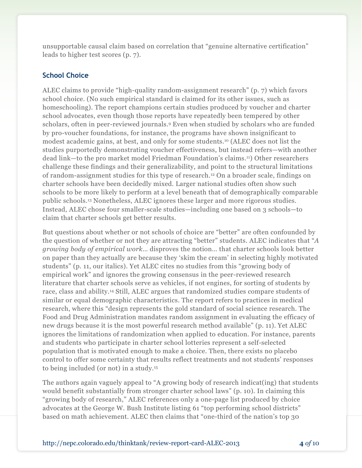unsupportable causal claim based on correlation that "genuine alternative certification" leads to higher test scores (p. 7).

### **School Choice**

ALEC claims to provide "high-quality random-assignment research" (p. 7) which favors school choice. (No such empirical standard is claimed for its other issues, such as homeschooling). The report champions certain studies produced by voucher and charter school advocates, even though those reports have repeatedly been tempered by other scholars, often in peer-reviewed journals.<sup>9</sup> Even when studied by scholars who are funded by pro-voucher foundations, for instance, the programs have shown insignificant to modest academic gains, at best, and only for some students.<sup>10</sup> (ALEC does not list the studies purportedly demonstrating voucher effectiveness, but instead refers—with another dead link—to the pro market model Friedman Foundation's claims.11) Other researchers challenge these findings and their generalizability, and point to the structural limitations of random-assignment studies for this type of research.<sup>12</sup> On a broader scale, findings on charter schools have been decidedly mixed. Larger national studies often show such schools to be more likely to perform at a level beneath that of demographically comparable public schools.<sup>13</sup> Nonetheless, ALEC ignores these larger and more rigorous studies. Instead, ALEC chose four smaller-scale studies—including one based on 3 schools—to claim that charter schools get better results.

But questions about whether or not schools of choice are "better" are often confounded by the question of whether or not they are attracting "better" students. ALEC indicates that "*A growing body of empirical work*… disproves the notion… that charter schools look better on paper than they actually are because they 'skim the cream' in selecting highly motivated students" (p. 11, our italics). Yet ALEC cites no studies from this "growing body of empirical work" and ignores the growing consensus in the peer-reviewed research literature that charter schools serve as vehicles, if not engines, for sorting of students by race, class and ability.<sup>14</sup> Still, ALEC argues that randomized studies compare students of similar or equal demographic characteristics. The report refers to practices in medical research, where this "design represents the gold standard of social science research. The Food and Drug Administration mandates random assignment in evaluating the efficacy of new drugs because it is the most powerful research method available" (p. 11). Yet ALEC ignores the limitations of randomization when applied to education. For instance, parents and students who participate in charter school lotteries represent a self-selected population that is motivated enough to make a choice. Then, there exists no placebo control to offer some certainty that results reflect treatments and not students' responses to being included (or not) in a study.<sup>15</sup>

The authors again vaguely appeal to "A growing body of research indicat(ing) that students would benefit substantially from stronger charter school laws" (p. 10). In claiming this "growing body of research," ALEC references only a one-page list produced by choice advocates at the George W. Bush Institute listing 61 "top performing school districts" based on math achievement. ALEC then claims that "one-third of the nation's top 30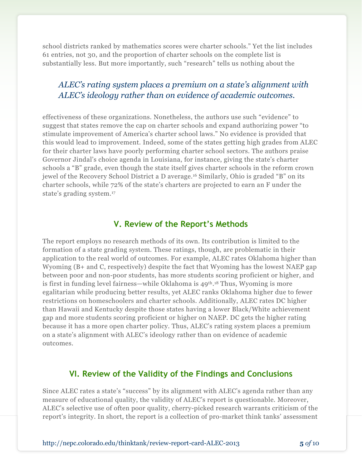school districts ranked by mathematics scores were charter schools." Yet the list includes 61 entries, not 30, and the proportion of charter schools on the complete list is substantially less. But more importantly, such "research" tells us nothing about the

### *ALEC's rating system places a premium on a state's alignment with ALEC's ideology rather than on evidence of academic outcomes.*

effectiveness of these organizations. Nonetheless, the authors use such "evidence" to suggest that states remove the cap on charter schools and expand authorizing power "to stimulate improvement of America's charter school laws." No evidence is provided that this would lead to improvement. Indeed, some of the states getting high grades from ALEC for their charter laws have poorly performing charter school sectors. The authors praise Governor Jindal's choice agenda in Louisiana, for instance, giving the state's charter schools a "B" grade, even though the state itself gives charter schools in the reform crown jewel of the Recovery School District a D average.<sup>16</sup> Similarly, Ohio is graded "B" on its charter schools, while 72% of the state's charters are projected to earn an F under the state's grading system.<sup>17</sup>

### **V. Review of the Report's Methods**

The report employs no research methods of its own. Its contribution is limited to the formation of a state grading system. These ratings, though, are problematic in their application to the real world of outcomes. For example, ALEC rates Oklahoma higher than Wyoming (B+ and C, respectively) despite the fact that Wyoming has the lowest NAEP gap between poor and non-poor students, has more students scoring proficient or higher, and is first in funding level fairness—while Oklahoma is 49th. <sup>18</sup> Thus, Wyoming is more egalitarian while producing better results, yet ALEC ranks Oklahoma higher due to fewer restrictions on homeschoolers and charter schools. Additionally, ALEC rates DC higher than Hawaii and Kentucky despite those states having a lower Black/White achievement gap and more students scoring proficient or higher on NAEP. DC gets the higher rating because it has a more open charter policy. Thus, ALEC's rating system places a premium on a state's alignment with ALEC's ideology rather than on evidence of academic outcomes.

### **VI. Review of the Validity of the Findings and Conclusions**

Since ALEC rates a state's "success" by its alignment with ALEC's agenda rather than any measure of educational quality, the validity of ALEC's report is questionable. Moreover, ALEC's selective use of often poor quality, cherry-picked research warrants criticism of the report's integrity. In short, the report is a collection of pro-market think tanks' assessment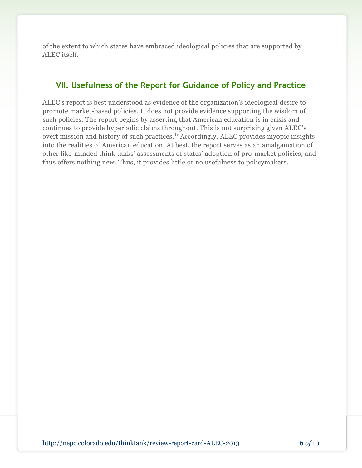of the extent to which states have embraced ideological policies that are supported by ALEC itself.

### **VII. Usefulness of the Report for Guidance of Policy and Practice**

ALEC's report is best understood as evidence of the organization's ideological desire to promote market-based policies. It does not provide evidence supporting the wisdom of such policies. The report begins by asserting that American education is in crisis and continues to provide hyperbolic claims throughout. This is not surprising given ALEC's overt mission and history of such practices.<sup>19</sup> Accordingly, ALEC provides myopic insights into the realities of American education. At best, the report serves as an amalgamation of other like-minded think tanks' assessments of states' adoption of pro-market policies, and thus offers nothing new. Thus, it provides little or no usefulness to policymakers.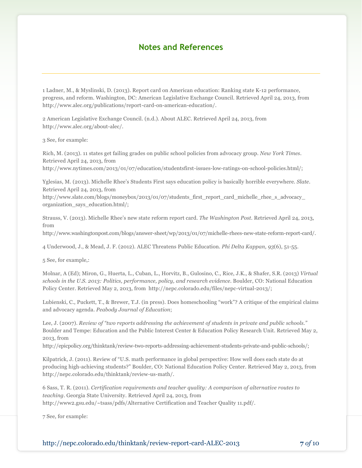### **Notes and References**

1 Ladner, M., & Myslinski, D. (2013). Report card on American education: Ranking state K-12 performance, progress, and reform. Washington, DC: American Legislative Exchange Council. Retrieved April 24, 2013, from http://www.alec.org/publications/report-card-on-american-education/.

2 American Legislative Exchange Council. (n.d.). About ALEC. Retrieved April 24, 2013, from http://www.alec.org/about-alec/.

3 See, for example:

Rich, M. (2013). 11 states get failing grades on public school policies from advocacy group. *New York Times*. Retrieved April 24, 2013, from http://www.nytimes.com/2013/01/07/education/studentsfirst-issues-low-ratings-on-school-policies.html/;

Yglesias, M. (2013). Michelle Rhee's Students First says education policy is basically horrible everywhere. *Slate*. Retrieved April 24, 2013, from

http://www.slate.com/blogs/moneybox/2013/01/07/students\_first\_report\_card\_michelle\_rhee\_s\_advocacy\_ organization\_says\_education.html/;

Strauss, V. (2013). Michelle Rhee's new state reform report card. *The Washington Post*. Retrieved April 24, 2013, from

http://www.washingtonpost.com/blogs/answer-sheet/wp/2013/01/07/michelle-rhees-new-state-reform-report-card/.

4 Underwood, J., & Mead, J. F. (2012). ALEC Threatens Public Education. *Phi Delta Kappan, 93*(6), 51-55.

5 See, for example,:

Molnar, A (Ed); Miron, G., Huerta, L., Cuban, L., Horvitz, B., Gulosino, C., Rice, J.K., & Shafer, S.R. (2013) *Virtual schools in the U.S. 2013: Politics, performance, policy, and research evidence*. Boulder, CO: National Education Policy Center. Retrieved May 2, 2013, from http://nepc.colorado.edu/files/nepc-virtual-2013/;

Lubienski, C., Puckett, T., & Brewer, T.J. (in press). Does homeschooling "work"? A critique of the empirical claims and advocacy agenda. *Peabody Journal of Education*;

Lee, J. (2007). *Review of "two reports addressing the achievement of students in private and public schools."* Boulder and Tempe: Education and the Public Interest Center & Education Policy Research Unit. Retrieved May 2, 2013, from

[http://epicpolicy.org/thinktank/review-two-reports-addressing-achievement-students-private-and-public-schools/](http://nepc.colorado.edu/thinktank/review-two-reports-addressing-achievement-students-private-and-public-schools);

Kilpatrick, J. (2011). Review of "U.S. math performance in global perspective: How well does each state do at producing high-achieving students?" Boulder, CO: National Education Policy Center. Retrieved May 2, 2013, from http://nepc.colorado.edu/thinktank/review-us-math/.

6 Sass, T. R. (2011). *Certification requirements and teacher quality: A comparison of alternative routes to teaching*. Georgia State University. Retrieved April 24, 2013, from http://www2.gsu.edu/~tsass/pdfs/Alternative Certification and Teacher Quality 11.pdf/.

7 See, for example:

http://nepc.colorado.edu/thinktank/review-report-card-ALEC-2013 **7** *of* 10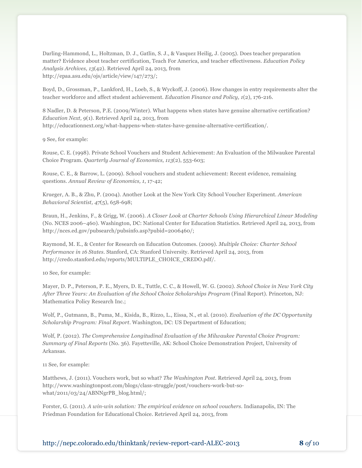Darling-Hammond, L., Holtzman, D. J., Gatlin, S. J., & Vasquez Heilig, J. (2005). Does teacher preparation matter? Evidence about teacher certification, Teach For America, and teacher effectiveness. *Education Policy Analysis Archives, 13*(42). Retrieved April 24, 2013, from http://epaa.asu.edu/ojs/article/view/147/273/;

Boyd, D., Grossman, P., Lankford, H., Loeb, S., & Wyckoff, J. (2006). How changes in entry requirements alter the teacher workforce and affect student achievement. *Education Finance and Policy, 1*(2), 176-216.

8 Nadler, D. & Peterson, P.E. (2009/Winter). What happens when states have genuine alternative certification? *Education Next, 9*(1). Retrieved April 24, 2013, from http://educationnext.org/what-happens-when-states-have-genuine-alternative-certification/.

9 See, for example:

Rouse, C. E. (1998). Private School Vouchers and Student Achievement: An Evaluation of the Milwaukee Parental Choice Program. *Quarterly Journal of Economics, 113*(2), 553-603;

Rouse, C. E., & Barrow, L. (2009). School vouchers and student achievement: Recent evidence, remaining questions. *Annual Review of Economics, 1*, 17-42;

Krueger, A. B., & Zhu, P. (2004). Another Look at the New York City School Voucher Experiment. *American Behavioral Scientist, 47*(5), 658-698;

Braun, H., Jenkins, F., & Grigg, W. (2006). *A Closer Look at Charter Schools Using Hierarchical Linear Modeling* (No. NCES 2006–460). Washington, DC: National Center for Education Statistics. Retrieved April 24, 2013, from http://nces.ed.gov/pubsearch/pubsinfo.asp?pubid=2006460/;

Raymond, M. E., & Center for Research on Education Outcomes. (2009). *Multiple Choice: Charter School Performance in 16 States*. Stanford, CA: Stanford University. Retrieved April 24, 2013, from http://credo.stanford.edu/reports/MULTIPLE\_CHOICE\_CREDO.pdf/.

10 See, for example:

Mayer, D. P., Peterson, P. E., Myers, D. E., Tuttle, C. C., & Howell, W. G. (2002). *School Choice in New York City After Three Years: An Evaluation of the School Choice Scholarships Program* (Final Report). Princeton, NJ: Mathematica Policy Research Inc.;

Wolf, P., Gutmann, B., Puma, M., Kisida, B., Rizzo, L., Eissa, N., et al. (2010). *Evaluation of the DC Opportunity Scholarship Program: Final Report*. Washington, DC: US Department of Education;

Wolf, P. (2012). *The Comprehensive Longitudinal Evaluation of the Milwaukee Parental Choice Program: Summary of Final Reports* (No. 36). Fayetteville, AK: School Choice Demonstration Project, University of Arkansas.

11 See, for example:

Matthews, J. (2011). Vouchers work, but so what? *The Washington Post*. Retrieved April 24, 2013, from http://www.washingtonpost.com/blogs/class-struggle/post/vouchers-work-but-sowhat/2011/03/24/ABNNgrPB\_blog.html/;

Forster, G. (2011). *A win-win solution: The empirical evidence on school vouchers*. Indianapolis, IN: The Friedman Foundation for Educational Choice. Retrieved April 24, 2013, from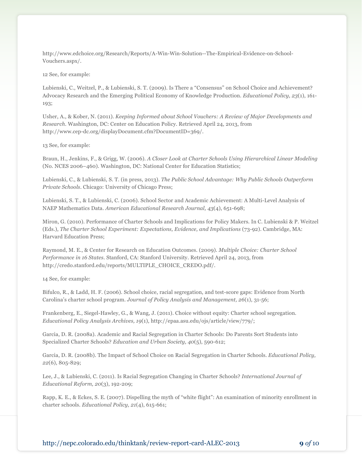http://www.edchoice.org/Research/Reports/A-Win-Win-Solution--The-Empirical-Evidence-on-School-Vouchers.aspx/.

12 See, for example:

Lubienski, C., Weitzel, P., & Lubienski, S. T. (2009). Is There a "Consensus" on School Choice and Achievement? Advocacy Research and the Emerging Political Economy of Knowledge Production. *Educational Policy, 23*(1), 161- 193;

Usher, A., & Kober, N. (2011). *Keeping Informed about School Vouchers: A Review of Major Developments and Research*. Washington, DC: Center on Education Policy. Retrieved April 24, 2013, from http://www.cep-dc.org/displayDocument.cfm?DocumentID=369/.

13 See, for example:

Braun, H., Jenkins, F., & Grigg, W. (2006). *A Closer Look at Charter Schools Using Hierarchical Linear Modeling* (No. NCES 2006–460). Washington, DC: National Center for Education Statistics;

Lubienski, C., & Lubienski, S. T. (in press, 2013). *The Public School Advantage: Why Public Schools Outperform Private Schools*. Chicago: University of Chicago Press;

Lubienski, S. T., & Lubienski, C. (2006). School Sector and Academic Achievement: A Multi-Level Analysis of NAEP Mathematics Data. *American Educational Research Journal, 43*(4), 651-698;

Miron, G. (2010). Performance of Charter Schools and Implications for Policy Makers. In C. Lubienski & P. Weitzel (Eds.), *The Charter School Experiment: Expectations, Evidence, and Implications* (73-92). Cambridge, MA: Harvard Education Press;

Raymond, M. E., & Center for Research on Education Outcomes. (2009). *Multiple Choice: Charter School Performance in 16 States*. Stanford, CA: Stanford University. Retrieved April 24, 2013, from http://credo.stanford.edu/reports/MULTIPLE\_CHOICE\_CREDO.pdf/.

14 See, for example:

Bifulco, R., & Ladd, H. F. (2006). School choice, racial segregation, and test-score gaps: Evidence from North Carolina's charter school program. *Journal of Policy Analysis and Management, 26*(1), 31-56;

Frankenberg, E., Siegel-Hawley, G., & Wang, J. (2011). Choice without equity: Charter school segregation. *Educational Policy Analysis Archives, 19*(1), http://epaa.asu.edu/ojs/article/view/779/;

Garcia, D. R. (2008a). Academic and Racial Segregation in Charter Schools: Do Parents Sort Students into Specialized Charter Schools? *Education and Urban Society, 40*(5), 590-612;

Garcia, D. R. (2008b). The Impact of School Choice on Racial Segregation in Charter Schools. *Educational Policy, 22*(6), 805-829;

Lee, J., & Lubienski, C. (2011). Is Racial Segregation Changing in Charter Schools? *International Journal of Educational Reform, 20*(3), 192-209;

Rapp, K. E., & Eckes, S. E. (2007). Dispelling the myth of "white flight": An examination of minority enrollment in charter schools. *Educational Policy, 21*(4), 615-661;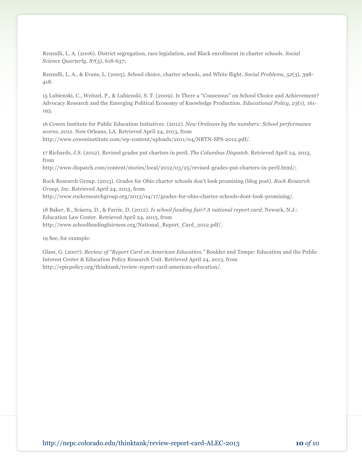Renzulli, L. A. (2006). District segregation, race legislation, and Black enrollment in charter schools. *Social Science Quarterly, 87*(3), 618-637;

Renzulli, L. A., & Evans, L. (2005). School choice, charter schools, and White flight. *Social Problems, 52*(3), 398- 418.

15 Lubienski, C., Weitzel, P., & Lubienski, S. T. (2009). Is There a "Consensus" on School Choice and Achievement? Advocacy Research and the Emerging Political Economy of Knowledge Production. *Educational Policy, 23*(1), 161- 193.

16 Cowen Institute for Public Education Initiatives. (2012). *New Oreleans by the numbers: School performance scores, 2012*. New Orleans, LA. Retrieved April 24, 2013, from http://www.coweninstitute.com/wp-content/uploads/2011/04/NBTN-SPS-2012.pdf/.

17 Richards, J.S. (2012). Revised grades put charters in peril. *The Columbus Dispatch*. Retrieved April 24, 2013, from

http://www.dispatch.com/content/stories/local/2012/03/25/revised-grades-put-charters-in-peril.html/;

Rock Research Group. (2013). Grades for Ohio charter schools don't look promising (blog post). *Rock Research Group, Inc*. Retrieved April 24, 2013, from http://www.rockresearchgroup.org/2013/04/17/grades-for-ohio-charter-schools-dont-look-promising/.

18 Baker, B., Sciarra, D., & Farrie, D. (2012). *Is school funding fair? A national report card*. Newark, N.J.: Education Law Center. Retrieved April 24, 2013, from http://www.schoolfundingfairness.org/National\_Report\_Card\_2012.pdf/.

19 See, for example:

Glass, G. (2007). *Review of "Report Card on American Education."* Boulder and Tempe: Education and the Public Interest Center & Education Policy Research Unit. Retrieved April 24, 2013, from http://epicpolicy.org/thinktank/review-report-card-american-education/.